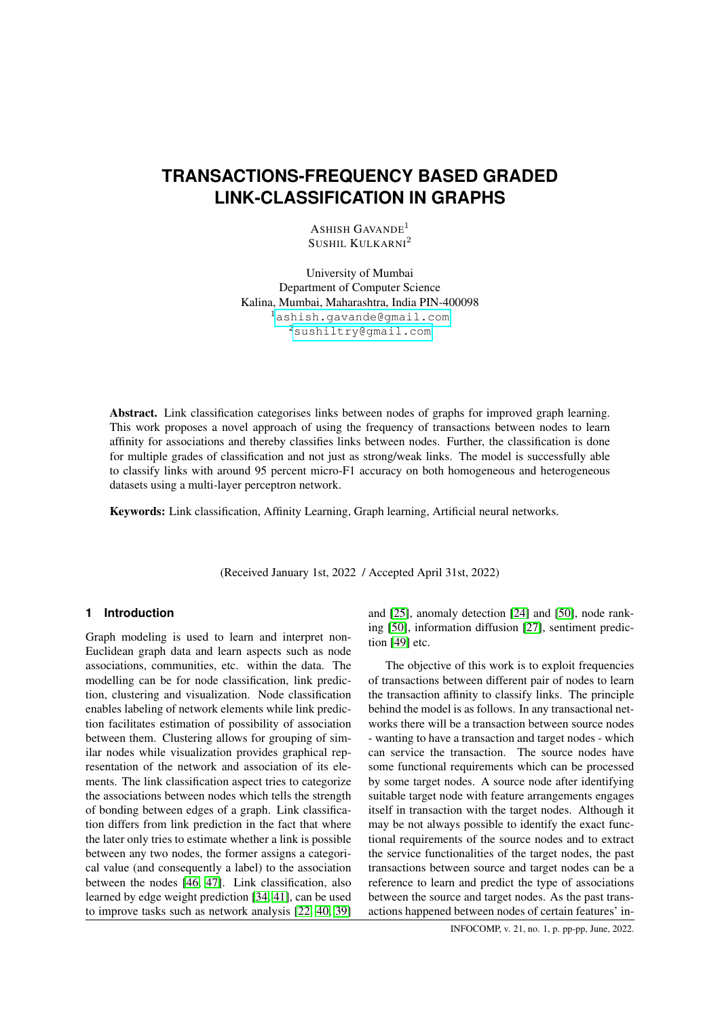# **TRANSACTIONS-FREQUENCY BASED GRADED LINK-CLASSIFICATION IN GRAPHS**

ASHISH GAVANDE<sup>1</sup> SUSHIL KULKARNI<sup>2</sup>

University of Mumbai Department of Computer Science Kalina, Mumbai, Maharashtra, India PIN-400098 <sup>1</sup><ashish.gavande@gmail.com> <sup>2</sup><sushiltry@gmail.com>

Abstract. Link classification categorises links between nodes of graphs for improved graph learning. This work proposes a novel approach of using the frequency of transactions between nodes to learn affinity for associations and thereby classifies links between nodes. Further, the classification is done for multiple grades of classification and not just as strong/weak links. The model is successfully able to classify links with around 95 percent micro-F1 accuracy on both homogeneous and heterogeneous datasets using a multi-layer perceptron network.

Keywords: Link classification, Affinity Learning, Graph learning, Artificial neural networks.

(Received January 1st, 2022 / Accepted April 31st, 2022)

# **1 Introduction**

Graph modeling is used to learn and interpret non-Euclidean graph data and learn aspects such as node associations, communities, etc. within the data. The modelling can be for node classification, link prediction, clustering and visualization. Node classification enables labeling of network elements while link prediction facilitates estimation of possibility of association between them. Clustering allows for grouping of similar nodes while visualization provides graphical representation of the network and association of its elements. The link classification aspect tries to categorize the associations between nodes which tells the strength of bonding between edges of a graph. Link classification differs from link prediction in the fact that where the later only tries to estimate whether a link is possible between any two nodes, the former assigns a categorical value (and consequently a label) to the association between the nodes [\[46,](#page-6-0) [47\]](#page-6-1). Link classification, also learned by edge weight prediction [\[34,](#page-6-2) [41\]](#page-6-3), can be used to improve tasks such as network analysis [\[22,](#page-5-0) [40,](#page-6-4) [39\]](#page-6-5)

and [\[25\]](#page-5-1), anomaly detection [\[24\]](#page-5-2) and [\[50\]](#page-6-6), node ranking [\[50\]](#page-6-6), information diffusion [\[27\]](#page-5-3), sentiment prediction [\[49\]](#page-6-7) etc.

The objective of this work is to exploit frequencies of transactions between different pair of nodes to learn the transaction affinity to classify links. The principle behind the model is as follows. In any transactional networks there will be a transaction between source nodes - wanting to have a transaction and target nodes - which can service the transaction. The source nodes have some functional requirements which can be processed by some target nodes. A source node after identifying suitable target node with feature arrangements engages itself in transaction with the target nodes. Although it may be not always possible to identify the exact functional requirements of the source nodes and to extract the service functionalities of the target nodes, the past transactions between source and target nodes can be a reference to learn and predict the type of associations between the source and target nodes. As the past transactions happened between nodes of certain features' in-

INFOCOMP, v. 21, no. 1, p. pp-pp, June, 2022.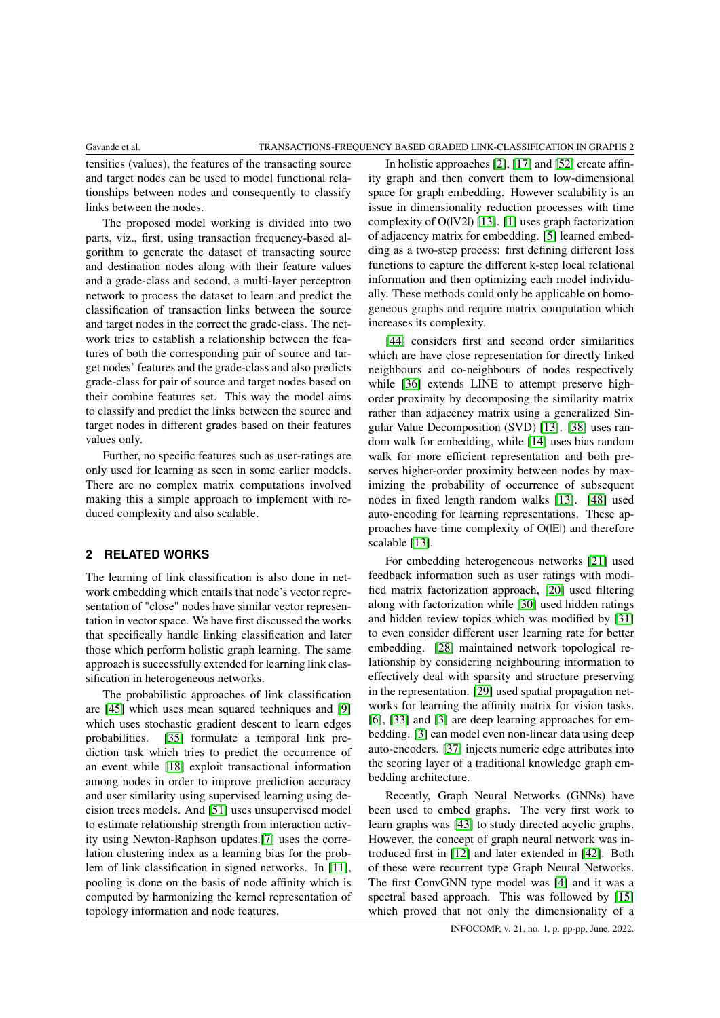tensities (values), the features of the transacting source and target nodes can be used to model functional relationships between nodes and consequently to classify links between the nodes.

The proposed model working is divided into two parts, viz., first, using transaction frequency-based algorithm to generate the dataset of transacting source and destination nodes along with their feature values and a grade-class and second, a multi-layer perceptron network to process the dataset to learn and predict the classification of transaction links between the source and target nodes in the correct the grade-class. The network tries to establish a relationship between the features of both the corresponding pair of source and target nodes' features and the grade-class and also predicts grade-class for pair of source and target nodes based on their combine features set. This way the model aims to classify and predict the links between the source and target nodes in different grades based on their features values only.

Further, no specific features such as user-ratings are only used for learning as seen in some earlier models. There are no complex matrix computations involved making this a simple approach to implement with reduced complexity and also scalable.

# **2 RELATED WORKS**

The learning of link classification is also done in network embedding which entails that node's vector representation of "close" nodes have similar vector representation in vector space. We have first discussed the works that specifically handle linking classification and later those which perform holistic graph learning. The same approach is successfully extended for learning link classification in heterogeneous networks.

The probabilistic approaches of link classification are [\[45\]](#page-6-8) which uses mean squared techniques and [\[9\]](#page-4-0) which uses stochastic gradient descent to learn edges probabilities. [\[35\]](#page-6-9) formulate a temporal link prediction task which tries to predict the occurrence of an event while [\[18\]](#page-5-4) exploit transactional information among nodes in order to improve prediction accuracy and user similarity using supervised learning using decision trees models. And [\[51\]](#page-6-10) uses unsupervised model to estimate relationship strength from interaction activity using Newton-Raphson updates.[\[7\]](#page-4-1) uses the correlation clustering index as a learning bias for the problem of link classification in signed networks. In [\[11\]](#page-4-2), pooling is done on the basis of node affinity which is computed by harmonizing the kernel representation of topology information and node features.

In holistic approaches [\[2\]](#page-4-3), [\[17\]](#page-5-5) and [\[52\]](#page-6-11) create affinity graph and then convert them to low-dimensional space for graph embedding. However scalability is an issue in dimensionality reduction processes with time complexity of O(|V2|) [\[13\]](#page-5-6). [\[1\]](#page-4-4) uses graph factorization of adjacency matrix for embedding. [\[5\]](#page-4-5) learned embedding as a two-step process: first defining different loss functions to capture the different k-step local relational information and then optimizing each model individually. These methods could only be applicable on homogeneous graphs and require matrix computation which increases its complexity.

[\[44\]](#page-6-12) considers first and second order similarities which are have close representation for directly linked neighbours and co-neighbours of nodes respectively while [\[36\]](#page-6-13) extends LINE to attempt preserve highorder proximity by decomposing the similarity matrix rather than adjacency matrix using a generalized Singular Value Decomposition (SVD) [\[13\]](#page-5-6). [\[38\]](#page-6-14) uses random walk for embedding, while [\[14\]](#page-5-7) uses bias random walk for more efficient representation and both preserves higher-order proximity between nodes by maximizing the probability of occurrence of subsequent nodes in fixed length random walks [\[13\]](#page-5-6). [\[48\]](#page-6-15) used auto-encoding for learning representations. These approaches have time complexity of  $O(|E|)$  and therefore scalable [\[13\]](#page-5-6).

For embedding heterogeneous networks [\[21\]](#page-5-8) used feedback information such as user ratings with modified matrix factorization approach, [\[20\]](#page-5-9) used filtering along with factorization while [\[30\]](#page-5-10) used hidden ratings and hidden review topics which was modified by [\[31\]](#page-5-11) to even consider different user learning rate for better embedding. [\[28\]](#page-5-12) maintained network topological relationship by considering neighbouring information to effectively deal with sparsity and structure preserving in the representation. [\[29\]](#page-5-13) used spatial propagation networks for learning the affinity matrix for vision tasks. [\[6\]](#page-4-6), [\[33\]](#page-6-16) and [\[3\]](#page-4-7) are deep learning approaches for embedding. [\[3\]](#page-4-7) can model even non-linear data using deep auto-encoders. [\[37\]](#page-6-17) injects numeric edge attributes into the scoring layer of a traditional knowledge graph embedding architecture.

Recently, Graph Neural Networks (GNNs) have been used to embed graphs. The very first work to learn graphs was [\[43\]](#page-6-18) to study directed acyclic graphs. However, the concept of graph neural network was introduced first in [\[12\]](#page-5-14) and later extended in [\[42\]](#page-6-19). Both of these were recurrent type Graph Neural Networks. The first ConvGNN type model was [\[4\]](#page-4-8) and it was a spectral based approach. This was followed by [\[15\]](#page-5-15) which proved that not only the dimensionality of a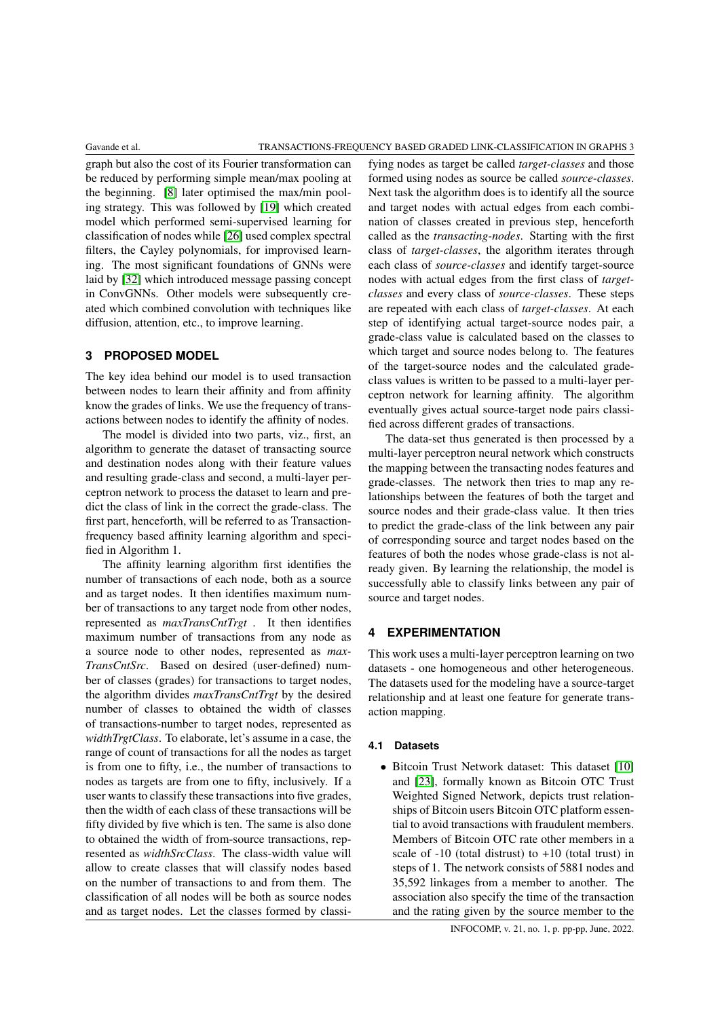graph but also the cost of its Fourier transformation can be reduced by performing simple mean/max pooling at the beginning. [\[8\]](#page-4-9) later optimised the max/min pooling strategy. This was followed by [\[19\]](#page-5-16) which created model which performed semi-supervised learning for classification of nodes while [\[26\]](#page-5-17) used complex spectral filters, the Cayley polynomials, for improvised learning. The most significant foundations of GNNs were laid by [\[32\]](#page-5-18) which introduced message passing concept in ConvGNNs. Other models were subsequently created which combined convolution with techniques like diffusion, attention, etc., to improve learning.

# **3 PROPOSED MODEL**

The key idea behind our model is to used transaction between nodes to learn their affinity and from affinity know the grades of links. We use the frequency of transactions between nodes to identify the affinity of nodes.

The model is divided into two parts, viz., first, an algorithm to generate the dataset of transacting source and destination nodes along with their feature values and resulting grade-class and second, a multi-layer perceptron network to process the dataset to learn and predict the class of link in the correct the grade-class. The first part, henceforth, will be referred to as Transactionfrequency based affinity learning algorithm and specified in Algorithm 1.

The affinity learning algorithm first identifies the number of transactions of each node, both as a source and as target nodes. It then identifies maximum number of transactions to any target node from other nodes, represented as *maxTransCntTrgt* . It then identifies maximum number of transactions from any node as a source node to other nodes, represented as *max-TransCntSrc*. Based on desired (user-defined) number of classes (grades) for transactions to target nodes, the algorithm divides *maxTransCntTrgt* by the desired number of classes to obtained the width of classes of transactions-number to target nodes, represented as *widthTrgtClass*. To elaborate, let's assume in a case, the range of count of transactions for all the nodes as target is from one to fifty, i.e., the number of transactions to nodes as targets are from one to fifty, inclusively. If a user wants to classify these transactions into five grades, then the width of each class of these transactions will be fifty divided by five which is ten. The same is also done to obtained the width of from-source transactions, represented as *widthSrcClass*. The class-width value will allow to create classes that will classify nodes based on the number of transactions to and from them. The classification of all nodes will be both as source nodes and as target nodes. Let the classes formed by classi-

fying nodes as target be called *target-classes* and those formed using nodes as source be called *source-classes*. Next task the algorithm does is to identify all the source and target nodes with actual edges from each combination of classes created in previous step, henceforth called as the *transacting-nodes*. Starting with the first class of *target-classes*, the algorithm iterates through each class of *source-classes* and identify target-source nodes with actual edges from the first class of *targetclasses* and every class of *source-classes*. These steps are repeated with each class of *target-classes*. At each step of identifying actual target-source nodes pair, a grade-class value is calculated based on the classes to which target and source nodes belong to. The features of the target-source nodes and the calculated gradeclass values is written to be passed to a multi-layer perceptron network for learning affinity. The algorithm eventually gives actual source-target node pairs classified across different grades of transactions.

The data-set thus generated is then processed by a multi-layer perceptron neural network which constructs the mapping between the transacting nodes features and grade-classes. The network then tries to map any relationships between the features of both the target and source nodes and their grade-class value. It then tries to predict the grade-class of the link between any pair of corresponding source and target nodes based on the features of both the nodes whose grade-class is not already given. By learning the relationship, the model is successfully able to classify links between any pair of source and target nodes.

# **4 EXPERIMENTATION**

This work uses a multi-layer perceptron learning on two datasets - one homogeneous and other heterogeneous. The datasets used for the modeling have a source-target relationship and at least one feature for generate transaction mapping.

# **4.1 Datasets**

• Bitcoin Trust Network dataset: This dataset [\[10\]](#page-4-10) and [\[23\]](#page-5-19), formally known as Bitcoin OTC Trust Weighted Signed Network, depicts trust relationships of Bitcoin users Bitcoin OTC platform essential to avoid transactions with fraudulent members. Members of Bitcoin OTC rate other members in a scale of  $-10$  (total distrust) to  $+10$  (total trust) in steps of 1. The network consists of 5881 nodes and 35,592 linkages from a member to another. The association also specify the time of the transaction and the rating given by the source member to the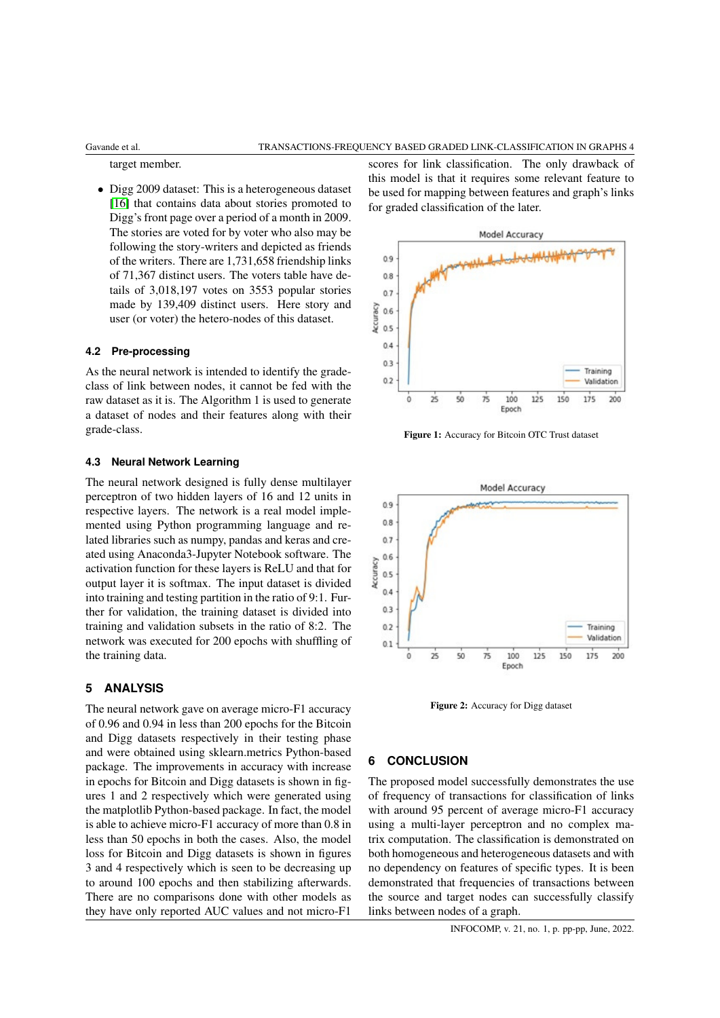target member.

• Digg 2009 dataset: This is a heterogeneous dataset [\[16\]](#page-5-20) that contains data about stories promoted to Digg's front page over a period of a month in 2009. The stories are voted for by voter who also may be following the story-writers and depicted as friends of the writers. There are 1,731,658 friendship links of 71,367 distinct users. The voters table have details of 3,018,197 votes on 3553 popular stories made by 139,409 distinct users. Here story and user (or voter) the hetero-nodes of this dataset.

#### **4.2 Pre-processing**

As the neural network is intended to identify the gradeclass of link between nodes, it cannot be fed with the raw dataset as it is. The Algorithm 1 is used to generate a dataset of nodes and their features along with their grade-class.

### **4.3 Neural Network Learning**

The neural network designed is fully dense multilayer perceptron of two hidden layers of 16 and 12 units in respective layers. The network is a real model implemented using Python programming language and related libraries such as numpy, pandas and keras and created using Anaconda3-Jupyter Notebook software. The activation function for these layers is ReLU and that for output layer it is softmax. The input dataset is divided into training and testing partition in the ratio of 9:1. Further for validation, the training dataset is divided into training and validation subsets in the ratio of 8:2. The network was executed for 200 epochs with shuffling of the training data.

# **5 ANALYSIS**

The neural network gave on average micro-F1 accuracy of 0.96 and 0.94 in less than 200 epochs for the Bitcoin and Digg datasets respectively in their testing phase and were obtained using sklearn.metrics Python-based package. The improvements in accuracy with increase in epochs for Bitcoin and Digg datasets is shown in figures 1 and 2 respectively which were generated using the matplotlib Python-based package. In fact, the model is able to achieve micro-F1 accuracy of more than 0.8 in less than 50 epochs in both the cases. Also, the model loss for Bitcoin and Digg datasets is shown in figures 3 and 4 respectively which is seen to be decreasing up to around 100 epochs and then stabilizing afterwards. There are no comparisons done with other models as they have only reported AUC values and not micro-F1

scores for link classification. The only drawback of this model is that it requires some relevant feature to be used for mapping between features and graph's links for graded classification of the later.



Figure 1: Accuracy for Bitcoin OTC Trust dataset



Figure 2: Accuracy for Digg dataset

# **6 CONCLUSION**

The proposed model successfully demonstrates the use of frequency of transactions for classification of links with around 95 percent of average micro-F1 accuracy using a multi-layer perceptron and no complex matrix computation. The classification is demonstrated on both homogeneous and heterogeneous datasets and with no dependency on features of specific types. It is been demonstrated that frequencies of transactions between the source and target nodes can successfully classify links between nodes of a graph.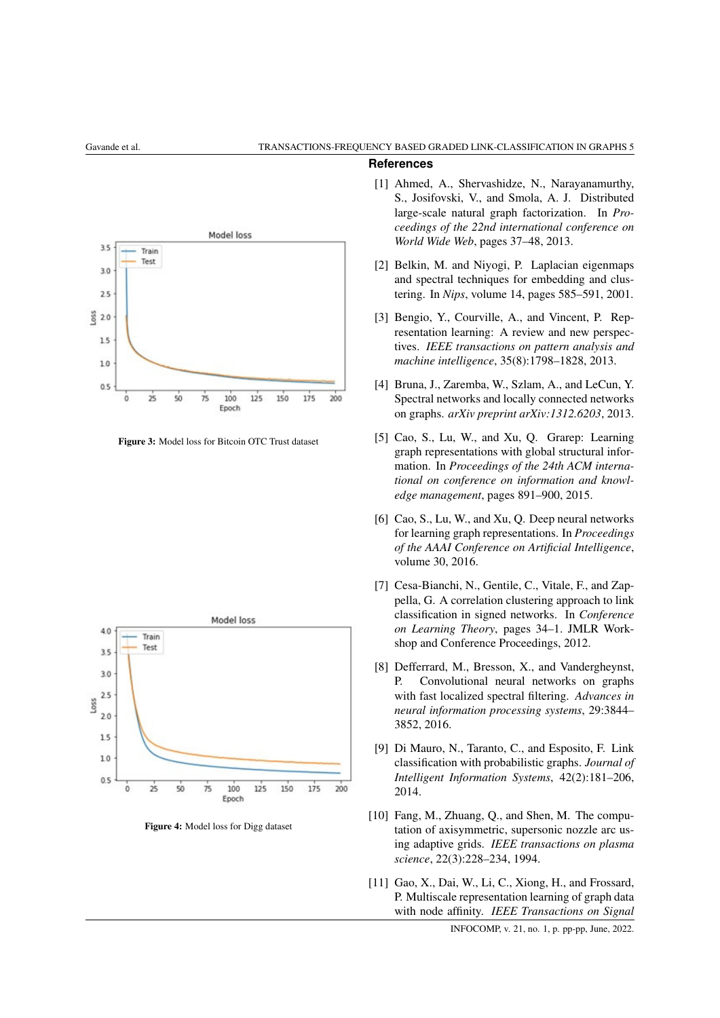# **References**



Figure 3: Model loss for Bitcoin OTC Trust dataset



Figure 4: Model loss for Digg dataset

- <span id="page-4-4"></span>[1] Ahmed, A., Shervashidze, N., Narayanamurthy, S., Josifovski, V., and Smola, A. J. Distributed large-scale natural graph factorization. In *Proceedings of the 22nd international conference on World Wide Web*, pages 37–48, 2013.
- <span id="page-4-3"></span>[2] Belkin, M. and Niyogi, P. Laplacian eigenmaps and spectral techniques for embedding and clustering. In *Nips*, volume 14, pages 585–591, 2001.
- <span id="page-4-7"></span>[3] Bengio, Y., Courville, A., and Vincent, P. Representation learning: A review and new perspectives. *IEEE transactions on pattern analysis and machine intelligence*, 35(8):1798–1828, 2013.
- <span id="page-4-8"></span>[4] Bruna, J., Zaremba, W., Szlam, A., and LeCun, Y. Spectral networks and locally connected networks on graphs. *arXiv preprint arXiv:1312.6203*, 2013.
- <span id="page-4-5"></span>[5] Cao, S., Lu, W., and Xu, Q. Grarep: Learning graph representations with global structural information. In *Proceedings of the 24th ACM international on conference on information and knowledge management*, pages 891–900, 2015.
- <span id="page-4-6"></span>[6] Cao, S., Lu, W., and Xu, Q. Deep neural networks for learning graph representations. In *Proceedings of the AAAI Conference on Artificial Intelligence*, volume 30, 2016.
- <span id="page-4-1"></span>[7] Cesa-Bianchi, N., Gentile, C., Vitale, F., and Zappella, G. A correlation clustering approach to link classification in signed networks. In *Conference on Learning Theory*, pages 34–1. JMLR Workshop and Conference Proceedings, 2012.
- <span id="page-4-9"></span>[8] Defferrard, M., Bresson, X., and Vandergheynst, P. Convolutional neural networks on graphs with fast localized spectral filtering. *Advances in neural information processing systems*, 29:3844– 3852, 2016.
- <span id="page-4-0"></span>[9] Di Mauro, N., Taranto, C., and Esposito, F. Link classification with probabilistic graphs. *Journal of Intelligent Information Systems*, 42(2):181–206, 2014.
- <span id="page-4-10"></span>[10] Fang, M., Zhuang, Q., and Shen, M. The computation of axisymmetric, supersonic nozzle arc using adaptive grids. *IEEE transactions on plasma science*, 22(3):228–234, 1994.
- <span id="page-4-2"></span>[11] Gao, X., Dai, W., Li, C., Xiong, H., and Frossard, P. Multiscale representation learning of graph data with node affinity. *IEEE Transactions on Signal*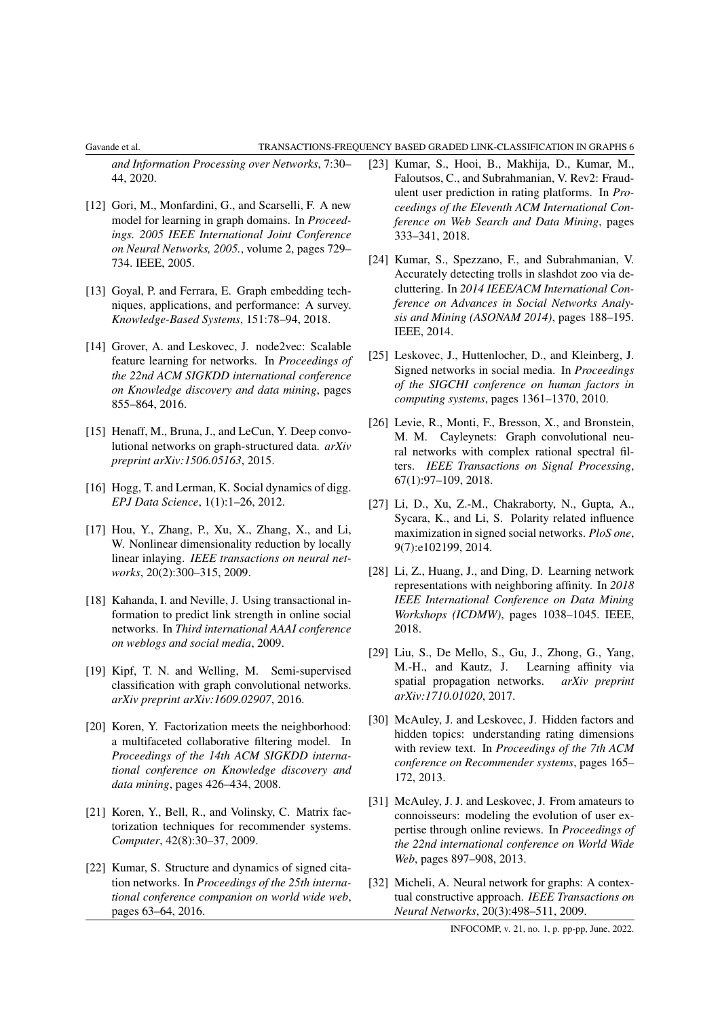*and Information Processing over Networks*, 7:30– 44, 2020.

- <span id="page-5-14"></span>[12] Gori, M., Monfardini, G., and Scarselli, F. A new model for learning in graph domains. In *Proceedings. 2005 IEEE International Joint Conference on Neural Networks, 2005.*, volume 2, pages 729– 734. IEEE, 2005.
- <span id="page-5-6"></span>[13] Goyal, P. and Ferrara, E. Graph embedding techniques, applications, and performance: A survey. *Knowledge-Based Systems*, 151:78–94, 2018.
- <span id="page-5-7"></span>[14] Grover, A. and Leskovec, J. node2vec: Scalable feature learning for networks. In *Proceedings of the 22nd ACM SIGKDD international conference on Knowledge discovery and data mining*, pages 855–864, 2016.
- <span id="page-5-15"></span>[15] Henaff, M., Bruna, J., and LeCun, Y. Deep convolutional networks on graph-structured data. *arXiv preprint arXiv:1506.05163*, 2015.
- <span id="page-5-20"></span>[16] Hogg, T. and Lerman, K. Social dynamics of digg. *EPJ Data Science*, 1(1):1–26, 2012.
- <span id="page-5-5"></span>[17] Hou, Y., Zhang, P., Xu, X., Zhang, X., and Li, W. Nonlinear dimensionality reduction by locally linear inlaying. *IEEE transactions on neural networks*, 20(2):300–315, 2009.
- <span id="page-5-4"></span>[18] Kahanda, I. and Neville, J. Using transactional information to predict link strength in online social networks. In *Third international AAAI conference on weblogs and social media*, 2009.
- <span id="page-5-16"></span>[19] Kipf, T. N. and Welling, M. Semi-supervised classification with graph convolutional networks. *arXiv preprint arXiv:1609.02907*, 2016.
- <span id="page-5-9"></span>[20] Koren, Y. Factorization meets the neighborhood: a multifaceted collaborative filtering model. In *Proceedings of the 14th ACM SIGKDD international conference on Knowledge discovery and data mining*, pages 426–434, 2008.
- <span id="page-5-8"></span>[21] Koren, Y., Bell, R., and Volinsky, C. Matrix factorization techniques for recommender systems. *Computer*, 42(8):30–37, 2009.
- <span id="page-5-0"></span>[22] Kumar, S. Structure and dynamics of signed citation networks. In *Proceedings of the 25th international conference companion on world wide web*, pages 63–64, 2016.
- <span id="page-5-19"></span>[23] Kumar, S., Hooi, B., Makhija, D., Kumar, M., Faloutsos, C., and Subrahmanian, V. Rev2: Fraudulent user prediction in rating platforms. In *Proceedings of the Eleventh ACM International Conference on Web Search and Data Mining*, pages 333–341, 2018.
- <span id="page-5-2"></span>[24] Kumar, S., Spezzano, F., and Subrahmanian, V. Accurately detecting trolls in slashdot zoo via decluttering. In *2014 IEEE/ACM International Conference on Advances in Social Networks Analysis and Mining (ASONAM 2014)*, pages 188–195. IEEE, 2014.
- <span id="page-5-1"></span>[25] Leskovec, J., Huttenlocher, D., and Kleinberg, J. Signed networks in social media. In *Proceedings of the SIGCHI conference on human factors in computing systems*, pages 1361–1370, 2010.
- <span id="page-5-17"></span>[26] Levie, R., Monti, F., Bresson, X., and Bronstein, M. M. Cayleynets: Graph convolutional neural networks with complex rational spectral filters. *IEEE Transactions on Signal Processing*, 67(1):97–109, 2018.
- <span id="page-5-3"></span>[27] Li, D., Xu, Z.-M., Chakraborty, N., Gupta, A., Sycara, K., and Li, S. Polarity related influence maximization in signed social networks. *PloS one*, 9(7):e102199, 2014.
- <span id="page-5-12"></span>[28] Li, Z., Huang, J., and Ding, D. Learning network representations with neighboring affinity. In *2018 IEEE International Conference on Data Mining Workshops (ICDMW)*, pages 1038–1045. IEEE, 2018.
- <span id="page-5-13"></span>[29] Liu, S., De Mello, S., Gu, J., Zhong, G., Yang, M.-H., and Kautz, J. Learning affinity via spatial propagation networks. *arXiv preprint arXiv:1710.01020*, 2017.
- <span id="page-5-10"></span>[30] McAuley, J. and Leskovec, J. Hidden factors and hidden topics: understanding rating dimensions with review text. In *Proceedings of the 7th ACM conference on Recommender systems*, pages 165– 172, 2013.
- <span id="page-5-11"></span>[31] McAuley, J. J. and Leskovec, J. From amateurs to connoisseurs: modeling the evolution of user expertise through online reviews. In *Proceedings of the 22nd international conference on World Wide Web*, pages 897–908, 2013.
- <span id="page-5-18"></span>[32] Micheli, A. Neural network for graphs: A contextual constructive approach. *IEEE Transactions on Neural Networks*, 20(3):498–511, 2009.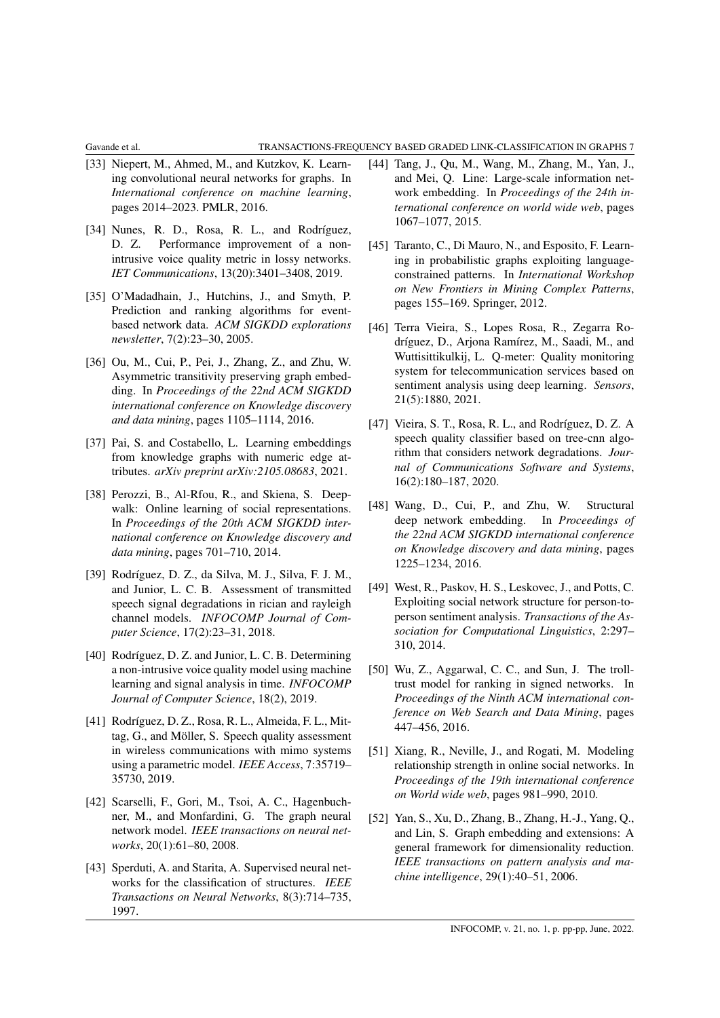- <span id="page-6-16"></span>[33] Niepert, M., Ahmed, M., and Kutzkov, K. Learning convolutional neural networks for graphs. In *International conference on machine learning*, pages 2014–2023. PMLR, 2016.
- <span id="page-6-2"></span>[34] Nunes, R. D., Rosa, R. L., and Rodríguez, D. Z. Performance improvement of a nonintrusive voice quality metric in lossy networks. *IET Communications*, 13(20):3401–3408, 2019.
- <span id="page-6-9"></span>[35] O'Madadhain, J., Hutchins, J., and Smyth, P. Prediction and ranking algorithms for eventbased network data. *ACM SIGKDD explorations newsletter*, 7(2):23–30, 2005.
- <span id="page-6-13"></span>[36] Ou, M., Cui, P., Pei, J., Zhang, Z., and Zhu, W. Asymmetric transitivity preserving graph embedding. In *Proceedings of the 22nd ACM SIGKDD international conference on Knowledge discovery and data mining*, pages 1105–1114, 2016.
- <span id="page-6-17"></span>[37] Pai, S. and Costabello, L. Learning embeddings from knowledge graphs with numeric edge attributes. *arXiv preprint arXiv:2105.08683*, 2021.
- <span id="page-6-14"></span>[38] Perozzi, B., Al-Rfou, R., and Skiena, S. Deepwalk: Online learning of social representations. In *Proceedings of the 20th ACM SIGKDD international conference on Knowledge discovery and data mining*, pages 701–710, 2014.
- <span id="page-6-5"></span>[39] Rodríguez, D. Z., da Silva, M. J., Silva, F. J. M., and Junior, L. C. B. Assessment of transmitted speech signal degradations in rician and rayleigh channel models. *INFOCOMP Journal of Computer Science*, 17(2):23–31, 2018.
- <span id="page-6-4"></span>[40] Rodríguez, D. Z. and Junior, L. C. B. Determining a non-intrusive voice quality model using machine learning and signal analysis in time. *INFOCOMP Journal of Computer Science*, 18(2), 2019.
- <span id="page-6-3"></span>[41] Rodríguez, D. Z., Rosa, R. L., Almeida, F. L., Mittag, G., and Möller, S. Speech quality assessment in wireless communications with mimo systems using a parametric model. *IEEE Access*, 7:35719– 35730, 2019.
- <span id="page-6-19"></span>[42] Scarselli, F., Gori, M., Tsoi, A. C., Hagenbuchner, M., and Monfardini, G. The graph neural network model. *IEEE transactions on neural networks*, 20(1):61–80, 2008.
- <span id="page-6-18"></span>[43] Sperduti, A. and Starita, A. Supervised neural networks for the classification of structures. *IEEE Transactions on Neural Networks*, 8(3):714–735, 1997.
- <span id="page-6-12"></span>[44] Tang, J., Qu, M., Wang, M., Zhang, M., Yan, J., and Mei, Q. Line: Large-scale information network embedding. In *Proceedings of the 24th international conference on world wide web*, pages 1067–1077, 2015.
- <span id="page-6-8"></span>[45] Taranto, C., Di Mauro, N., and Esposito, F. Learning in probabilistic graphs exploiting languageconstrained patterns. In *International Workshop on New Frontiers in Mining Complex Patterns*, pages 155–169. Springer, 2012.
- <span id="page-6-0"></span>[46] Terra Vieira, S., Lopes Rosa, R., Zegarra Rodríguez, D., Arjona Ramírez, M., Saadi, M., and Wuttisittikulkij, L. Q-meter: Quality monitoring system for telecommunication services based on sentiment analysis using deep learning. *Sensors*, 21(5):1880, 2021.
- <span id="page-6-1"></span>[47] Vieira, S. T., Rosa, R. L., and Rodríguez, D. Z. A speech quality classifier based on tree-cnn algorithm that considers network degradations. *Journal of Communications Software and Systems*, 16(2):180–187, 2020.
- <span id="page-6-15"></span>[48] Wang, D., Cui, P., and Zhu, W. Structural deep network embedding. In *Proceedings of the 22nd ACM SIGKDD international conference on Knowledge discovery and data mining*, pages 1225–1234, 2016.
- <span id="page-6-7"></span>[49] West, R., Paskov, H. S., Leskovec, J., and Potts, C. Exploiting social network structure for person-toperson sentiment analysis. *Transactions of the Association for Computational Linguistics*, 2:297– 310, 2014.
- <span id="page-6-6"></span>[50] Wu, Z., Aggarwal, C. C., and Sun, J. The trolltrust model for ranking in signed networks. In *Proceedings of the Ninth ACM international conference on Web Search and Data Mining*, pages 447–456, 2016.
- <span id="page-6-10"></span>[51] Xiang, R., Neville, J., and Rogati, M. Modeling relationship strength in online social networks. In *Proceedings of the 19th international conference on World wide web*, pages 981–990, 2010.
- <span id="page-6-11"></span>[52] Yan, S., Xu, D., Zhang, B., Zhang, H.-J., Yang, Q., and Lin, S. Graph embedding and extensions: A general framework for dimensionality reduction. *IEEE transactions on pattern analysis and machine intelligence*, 29(1):40–51, 2006.